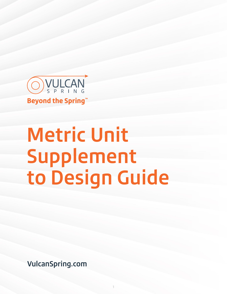

# **Metric Unit Supplement to Design Guide**

1

**VulcanSpring.com**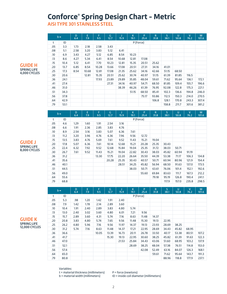# **Conforce® Spring Design Chart - Metric**

**AISI TYPE 301 STAINLESS STEEL**

|     | $b \rightarrow$ | D<br>6.4 | Ε<br>7.9 | F.<br>9.5 | G<br>12.7 | J<br>15.9 | K<br>19.1 | P<br>25.4 | R<br>31.8 | S<br>38.1 | U<br>50.8 | V<br>76.2 | W<br>101.6 |
|-----|-----------------|----------|----------|-----------|-----------|-----------|-----------|-----------|-----------|-----------|-----------|-----------|------------|
| t   | ID              |          |          |           |           |           |           | P (Force) |           |           |           |           |            |
| .05 | 3.3             | 1.73     | 2.18     | 2.58      | 3.43      |           |           |           |           |           |           |           |            |
| .08 | 5.1             | 2.58     | 3.20     | 3.83      | 5.12      | 6.41      |           |           |           |           |           |           |            |
| .10 | 6.9             | 3.43     | 4.27     | 5.12      | 6.85      | 8.54      | 10.23     |           |           |           |           |           |            |
| .13 | 8.6             | 4.27     | 5.34     | 6.41      | 8.54      | 10.68     | 12.81     | 17.08     |           |           |           |           |            |
| .15 | 10.4            | 5.12     | 6.41     | 7.70      | 10.23     | 12.81     | 15.35     | 20.51     | 25.62     |           |           |           |            |
| .20 | 13.7            | 6.85     | 8.54     | 10.28     | 13.66     | 17.08     | 20.51     | 27.31     | 34.16     | 41.01     |           |           |            |
| .25 | 17.3            | 8.54     | 10.68    | 12.81     | 17.08     | 21.35     | 25.62     | 34.16     | 42.66     | 51.15     | 68.50     |           |            |
| .30 | 20.6            |          | 12.81    | 15.35     | 20.51     | 25.62     | 30.74     | 40.97     | 51.15     | 61.39     | 81.85     | 116.5     |            |
| .36 | 24.1            |          |          | 17.93     | 23.89     | 29.89     | 35.85     | 48.04     | 59.61     | 71.62     | 95.64     | 136.1     | 172.1      |
| .41 | 27.4            |          |          |           | 27.31     | 34.16     | 40.97     | 54.71     | 68.50     | 81.85     | 109.4     | 155.7     | 196.6      |
| .46 | 31.0            |          |          |           |           | 38.39     | 46.26     | 61.39     | 76.95     | 92.08     | 122.8     | 175.3     | 221.1      |
| .51 | 34.3            |          |          |           |           |           | 51.15     | 68.50     | 85.41     | 102.3     | 136.6     | 194.8     | 246.0      |
| .56 | 37.8            |          |          |           |           |           |           | 75.17     | 93.86     | 112.5     | 150.3     | 214.0     | 270.5      |
| .64 | 42.9            |          |          |           |           |           |           |           | 106.8     | 128.1     | 170.8     | 243.3     | 307.4      |
| .79 | 53.1            |          |          |           |           |           |           |           |           | 158.8     | 211.7     | 301.6     | 381.2      |

#### **GUIDE H SPRING LIFE 4,000 CYCLES**

| <b>GUIDE J</b>      |
|---------------------|
| <b>SPRING LIFE</b>  |
| <b>8.000 CYCLES</b> |

|     | $b \rightarrow$ | D<br>6.4 | E<br>7.9 | F<br>9.5 | G<br>12.7 | 15.9  | ĸ<br>19.1 | P<br>25.4 | R<br>31.8 | S<br>38.1 | U<br>50.8 | v<br>76.2 | W<br>101.6 |
|-----|-----------------|----------|----------|----------|-----------|-------|-----------|-----------|-----------|-----------|-----------|-----------|------------|
| t   | ID              |          |          |          |           |       |           | P (Force) |           |           |           |           |            |
| .05 | 4.6             | 1.29     | 1.60     | 1.91     | 2.54      | 3.16  |           |           |           |           |           |           |            |
| .08 | 6.6             | 1.91     | 2.36     | 2.85     | 3.83      | 4.76  |           |           |           |           |           |           |            |
| .10 | 8.9             | 2.54     | 3.16     | 3.83     | 5.07      | 6.36  | 7.61      |           |           |           |           |           |            |
| .13 | 11.2            | 3.20     | 3.96     | 4.76     | 6.36      | 7.96  | 9.56      | 12.72     |           |           |           |           |            |
| .15 | 13.5            | 3.83     | 4.76     | 5.69     | 7.61      | 9.52  | 11.43     | 15.21     | 19.04     |           |           |           |            |
| .20 | 17.8            | 5.07     | 6.36     | 7.61     | 10.14     | 12.68 | 15.21     | 20.28     | 25.35     | 30.43     |           |           |            |
| .25 | 22.4            | 6.32     | 7.92     | 9.52     | 12.68     | 15.84 | 19.04     | 25.35     | 31.72     | 38.03     | 50.71     |           |            |
| .30 | 26.7            | 7.61     | 9.52     | 11.43    | 15.21     | 19.04 | 22.82     | 30.43     | 38.03     | 45.82     | 60.94     | 91.19     |            |
| .36 | 31.2            |          |          | 13.30    | 17.75     | 22.20 | 26.64     | 35.50     | 44.39     | 53.38     | 71.17     | 106.3     | 134.8      |
| .41 | 35.6            |          |          |          | 20.28     | 25.35 | 30.43     | 40.57     | 50.71     | 60.94     | 80.96     | 121.9     | 154.4      |
| .46 | 40.1            |          |          |          |           | 28.51 | 34.25     | 45.82     | 56.94     | 68.50     | 91.63     | 137.0     | 173.5      |
| .51 | 44.5            |          |          |          |           |       | 38.03     | 50.71     | 63.61     | 76.06     | 101.4     | 152.1     | 192.6      |
| .56 | 49.0            |          |          |          |           |       |           | 55.60     | 69.84     | 83.63     | 111.7     | 167.3     | 212.2      |
| .64 | 55.6            |          |          |          |           |       |           |           | 79.18     | 95.19     | 126.8     | 190.4     | 241.1      |
| .79 | 68.8            |          |          |          |           |       |           |           |           | 117.9     | 157.0     | 235.8     | 298.5      |

|     | $b \rightarrow$ | D<br>6.4 | Е<br>7.9 | F<br>9.5 | G<br>12.7 | 15.9  | К<br>19.1 | P<br>25.4 | R<br>31.8 | S<br>38.1 | U<br>50.8 | v<br>76.2 | W<br>101.6 |
|-----|-----------------|----------|----------|----------|-----------|-------|-----------|-----------|-----------|-----------|-----------|-----------|------------|
| t   | ID              |          |          |          |           |       |           | P (Force) |           |           |           |           |            |
| .05 | 5.3             | .98      | 1.20     | 1.42     | 1.91      | 2.40  |           |           |           |           |           |           |            |
| .08 | 7.9             | 1.42     | 1.78     | 2.14     | 2.89      | 3.60  |           |           |           |           |           |           |            |
| .10 | 10.4            | 1.91     | 2.40     | 2.89     | 3.83      | 4.80  | 5.74      |           |           |           |           |           |            |
| .13 | 13.0            | 2.40     | 3.02     | 3.60     | 4.80      | 6.01  | 7.21      | 9.56      |           |           |           |           |            |
| .15 | 15.7            | 2.89     | 3.60     | 4.31     | 5.74      | 7.16  | 8.63      | 11.48     | 14.37     |           |           |           |            |
| .20 | 20.8            | 3.83     | 4.80     | 5.74     | 7.65      | 9.56  | 11.48     | 15.30     | 19.13     | 22.95     |           |           |            |
| .25 | 26.2            | 4.80     | 5.96     | 7.16     | 9.56      | 11.97 | 14.37     | 19.13     | 23.93     | 28.69     | 38.25     |           |            |
| .30 | 31.2            | 5.74     | 7.16     | 8.63     | 11.48     | 14.37 | 17.21     | 22.95     | 28.69     | 34.43     | 45.82     | 68.95     |            |
| .36 | 36.6            |          |          | 10.05    | 13.39     | 16.73 | 20.11     | 26.78     | 33.50     | 40.17     | 53.38     | 80.51     | 107.2      |
| .41 | 41.7            |          |          |          | 15.30     | 19.13 | 22.95     | 30.60     | 38.25     | 45.82     | 61.39     | 91.63     | 122.3      |
| .46 | 47.0            |          |          |          |           | 21.53 | 25.84     | 34.43     | 43.06     | 51.60     | 68.95     | 103.2     | 137.9      |
| .51 | 52.1            |          |          |          |           |       | 28.69     | 38.25     | 48.04     | 57.38     | 76.51     | 114.8     | 153.0      |
| .56 | 57.4            |          |          |          |           |       |           | 42.08     | 52.49     | 63.16     | 84.07     | 126.3     | 168.1      |
| .64 | 65.0            |          |          |          |           |       |           |           | 59.61     | 71.62     | 95.64     | 143.7     | 191.3      |
| .79 | 80.8            |          |          |          |           |       |           |           |           | 88.96     | 118.8     | 177.9     | 237.1      |

**GUIDE K SPRING LIFE 12,000 CYCLES**

Variables:

t = material thickness (millimeters) b = material width (millimeters)

P = force (newtons)

ID = inside coil diameter (millimeters)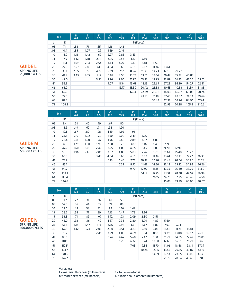|     | $b \rightarrow$ | D<br>6.4 | E.<br>7.9 | F<br>9.5 | G<br>12.7 | J<br>15.9 | К<br>19.1 | P<br>25.4 | R<br>31.8 | S.<br>38.1 | U<br>50.8 | $\mathsf{V}$<br>76.2 | W<br>101.6 |
|-----|-----------------|----------|-----------|----------|-----------|-----------|-----------|-----------|-----------|------------|-----------|----------------------|------------|
| t   | ID              |          |           |          |           |           |           | P (Force) |           |            |           |                      |            |
| .05 | 7.1             | .58      | .71       | .85      | 1.16      | 1.42      |           |           |           |            |           |                      |            |
| .08 | 10.4            | .85      | 1.07      | 1.29     | 1.69      | 2.14      |           |           |           |            |           |                      |            |
| .10 | 14.0            | 1.16     | 1.42      | 1.69     | 2.27      | 2.85      | 3.43      |           |           |            |           |                      |            |
| .13 | 17.5            | 1.42     | 1.78      | 2.14     | 2.85      | 3.56      | 4.27      | 5.69      |           |            |           |                      |            |
| .15 | 21.1            | 1.69     | 2.14      | 2.54     | 3.43      | 4.27      | 5.12      | 6.81      | 8.50      |            |           |                      |            |
| .20 | 27.9            | 2.27     | 2.85      | 3.43     | 4.54      | 5.69      | 6.81      | 9.07      | 11.34     | 13.61      |           |                      |            |
| .25 | 35.1            | 2.85     | 3.56      | 4.27     | 5.69      | 7.12      | 8.54      | 11.39     | 14.23     | 17.08      | 22.77     |                      |            |
| .30 | 41.9            | 3.43     | 4.27      | 5.12     | 6.81      | 8.50      | 10.23     | 13.61     | 17.04     | 20.42      | 27.22     | 40.83                |            |
| .36 | 49.0            |          |           | 5.96     | 7.96      | 9.96      | 11.97     | 15.92     | 19.93     | 23.89      | 31.85     | 47.60                | 63.61      |
| .41 | 55.9            |          |           |          | 9.07      | 11.34     | 13.61     | 18.15     | 22.69     | 27.22      | 36.30     | 54.27                | 72.51      |
| .46 | 63.0            |          |           |          |           | 12.77     | 15.30     | 20.42     | 25.53     | 30.65      | 40.83     | 61.39                | 81.85      |
| .51 | 69.9            |          |           |          |           |           | 17.04     | 22.69     | 28.38     | 34.03      | 45.37     | 68.06                | 90.74      |
| .56 | 77.0            |          |           |          |           |           |           | 24.91     | 31.18     | 37.45      | 49.82     | 74.73                | 99.64      |
| .64 | 87.4            |          |           |          |           |           |           |           | 35.45     | 42.52      | 56.94     | 84.96                | 113.4      |
| .79 | 108.2           |          |           |          |           |           |           |           |           | 52.93      | 70.28     | 105.4                | 140.6      |

#### **GUIDE L SPRING LIFE 25,000 CYCLES**

**GUIDE M SPRING LIFE 50,000 CYCLES**

|     | $b \rightarrow$ | D<br>6.4 | E<br>7.9 | F<br>9.5 | G<br>12.7 | 15.9 | К<br>19.1 | P<br>25.4 | R<br>31.8 | S<br>38.1 | U<br>50.8 | V<br>76.2 | W<br>101.6 |
|-----|-----------------|----------|----------|----------|-----------|------|-----------|-----------|-----------|-----------|-----------|-----------|------------|
| t   | ID              |          |          |          |           |      |           | P (Force) |           |           |           |           |            |
| .05 | 9.4             | .31      | .40      | .49      | .67       | .80  |           |           |           |           |           |           |            |
| .08 | 14.2            | .49      | .62      | .71      | .98       | 1.20 |           |           |           |           |           |           |            |
| .10 | 19.1            | .67      | .80      | .98      | 1.29      | 1.60 | 1.96      |           |           |           |           |           |            |
| .13 | 23.6            | .80      | 1.02     | 1.20     | 1.60      | 2.00 | 2.49      | 3.25      |           |           |           |           |            |
| .15 | 28.4            | .98      | 1.20     | 1.47     | 1.96      | 2.40 | 2.89      | 3.87      | 4.85      |           |           |           |            |
| .20 | 37.8            | 1.29     | 1.60     | 1.96     | 2.58      | 3.20 | 3.87      | 5.16      | 6.45      | 7.74      |           |           |            |
| .25 | 47.2            | 1.60     | 2.00     | 2.40     | 3.25      | 4.05 | 4.85      | 6.45      | 8.05      | 9.70      | 12.90     |           |            |
| .30 | 56.9            | 1.96     | 2.40     | 2.89     | 3.87      | 4.85 | 5.83      | 7.74      | 9.70      | 11.61     | 15.48     | 23.22     |            |
| .36 | 66.3            |          |          | 3.43     | 4.54      | 5.69 | 6.81      | 9.07      | 11.34     | 13.61     | 18.15     | 27.22     | 36.30      |
| .41 | 75.7            |          |          |          | 5.16      | 6.45 | 7.74      | 10.32     | 12.90     | 15.48     | 20.64     | 30.96     | 41.28      |
| .46 | 85.1            |          |          |          |           | 7.25 | 8.72      | 11.61     | 14.50     | 17.44     | 23.22     | 34.83     | 46.26      |
| .51 | 94.7            |          |          |          |           |      | 9.70      | 12.90     | 16.15     | 19.35     | 25.80     | 38.70     | 51.60      |
| .56 | 104.1           |          |          |          |           |      |           | 14.19     | 17.75     | 21.31     | 28.38     | 42.57     | 56.94      |
| .64 | 118.4           |          |          |          |           |      |           |           | 20.15     | 24.20     | 32.25     | 48.49     | 64.50      |
| .79 | 146.6           |          |          |          |           |      |           |           |           | 30.03     | 39.99     | 60.05     | 80.07      |

#### $b \rightarrow \begin{array}{c} D \\ 6.4 \end{array}$ E 7.9 F 9.5 G 12.7 J 15.9 K 19.1 P 25.4 R 31.8 S 38.1 t ID P (Force) .05 11.2 .22 .31 .36 .49 .58 .08 16.8 .36 .44 .53 .71 .89 .10 22.6 .49 .58 .71 .93 1.16 1.42 .13 28.2 .58 .71 .89 1.16 1.47 1.78 2.36 .15 33.8 .71 .89 1.07 1.42 1.73 2.09 2.80 3.51 .20 45.0 .93 1.16 1.42 1.87 2.36 2.80 3.74 4.89 5.60 .25 56.1 1.16 1.47 1.73 2.36 2.94 3.51 4.67 5.83 7.03 9.34 .30 67.6 1.42 1.73 2.09 2.80 3.51 4.23 5.60 7.03 8.41 11.21 16.81 .36 78.7 2.45 3.29 4.09 4.89 6.54 8.18 9.79 13.08 19.62 26.16 .41 89.9 3.74 4.67 5.60 7.47 9.34 11.21 14.95 22.42 29.89 .46 101.1 5.25 6.32 8.41 10.50 12.63 16.81 25.27 33.63 .51 112.5 7.03 9.34 11.70 14.06 18.68 28.11 37.37 .56 123.7 10.28 12.86 15.44 20.55 30.87 41.10 .64 140.5 14.59 17.53 23.35 35.05 46.71

**GUIDE N SPRING LIFE 100,000 CYCLES**

Variables:

t = material thickness (millimeters) b = material width (millimeters)

P = force (newtons)

.79 174.2 21.75 28.96 43.46 57.83

ID = inside coil diameter (millimeters)

U 50.8

V 76.2

W 101.6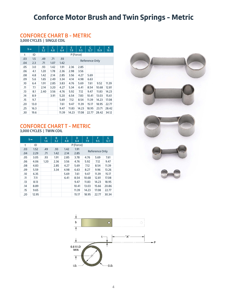### **Conforce Motor Brush and Twin Springs - Metric**

#### **CONFORCE CHART B - METRIC**

**3,000 CYCLES | SINGLE COIL**

|     | $b \rightarrow$ | B<br>3.2 | C<br>4.8 | D<br>6.4 | E<br>7.9     | F<br>9.5  | G<br>12.7      | J<br>15.9 | K<br>19.1 |  |
|-----|-----------------|----------|----------|----------|--------------|-----------|----------------|-----------|-----------|--|
| t   | ID              |          |          |          |              | P (Force) |                |           |           |  |
| .03 | 1.5             | .49      | .71      | .93      |              |           | Reference Only |           |           |  |
| .04 | 2.3             | .71      | 1.07     | 1.42     |              |           |                |           |           |  |
| .05 | 3.0             | .93      | 1.42     | 1.91     | 2.85<br>2.36 |           |                |           |           |  |
| .06 | 4.1             | 1.20     | 1.78     | 2.36     | 2.98         | 3.56      |                |           |           |  |
| .08 | 4.8             | 1.42     | 2.14     | 2.85     | 3.56         | 4.27      | 5.69           |           |           |  |
| .09 | 5.6             | 1.65     | 2.49     | 3.34     | 4.14         | 4.98      | 6.63           |           |           |  |
| .10 | 6.4             | 1.91     | 2.85     | 3.83     | 4.76         | 5.69      | 7.61           | 9.52      | 11.39     |  |
| .11 | 7.1             | 2.14     | 3.20     | 4.27     | 5.34         | 6.41      | 8.54           | 10.68     | 12.81     |  |
| .13 | 8.1             | 2.40     | 3.56     | 4.76     | 5.92         | 7.12      | 9.47           | 11.83     | 14.23     |  |
| .14 | 8.9             |          | 3.91     | 5.20     | 6.54         | 7.83      | 10.41          | 13.03     | 15.61     |  |
| .15 | 9.7             |          |          | 5.69     | 7.12         | 8.54      | 11.39          | 14.23     | 17.08     |  |
| .20 | 13.0            |          |          | 7.61     | 9.47         | 11.39     | 15.17          | 18.95     | 22.77     |  |
| .25 | 16.3            |          |          | 9.47     | 11.83        | 14.23     | 18.95          | 23.71     | 28.42     |  |
| .30 | 19.6            |          |          | 11.39    | 14.23        | 17.08     | 22.77          | 28.42     | 34.12     |  |

#### **CONFORCE CHART T - METRIC 3,000 CYCLES | TWIN COIL**

|     | $b \rightarrow$ | A<br>1.6 | B<br>3.2 | C<br>4.8 | D<br>6.4  | E<br>7.9       | F<br>9.5       | G<br>12.7 |
|-----|-----------------|----------|----------|----------|-----------|----------------|----------------|-----------|
| t   | ID              |          |          |          | P (Force) |                |                |           |
| .03 | 1.52            | .49      | .93      | 1.42     | 1.91      |                |                |           |
| .04 | 2.29            | .71      | 1.42     | 2.14     | 2.85      |                | Reference Only |           |
| .05 | 3.05            | .93      | 1.91     | 2.85     | 3.78      | 4.76           | 5.69           | 7.61      |
| .06 | 4.06            | 1.20     | 2.36     | 3.56     | 4.76      | 5.92           | 7.12           | 9.47      |
| .08 | 4.83            |          | 2.85     | 4.27     | 5.69      | 7.12           | 8.54           | 11.39     |
| .09 | 5.59            |          | 3.34     | 4.98     | 6.63      | 8.27           | 9.96           | 13.26     |
| .10 | 6.35            |          |          | 5.69     | 7.61      | 9.47           | 11.39          | 15.17     |
| .11 | 7.11            |          |          | 6.41     | 8.54      | 10.68          | 12.81          | 17.08     |
| .13 | 8.13            |          |          |          | 9.47      | 11.83          | 14.23          | 18.95     |
| .14 | 8.89            |          |          |          | 10.41     | 13.03          | 15.66          | 20.86     |
| .15 | 9.65            |          |          |          | 11.39     | 14.23          | 17.08          | 22.77     |
| .20 | 12.95           |          |          |          | 15.17     | 18.95<br>22.77 |                | 30.34     |



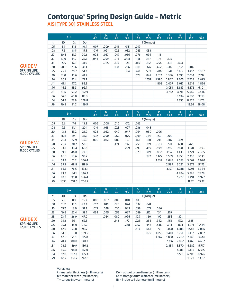# **Contorque® Spring Design Guide - Metric**

**AISI TYPE 301 STAINLESS STEEL**

|     |      | $b \rightarrow$ |       | C<br>4.8 | D<br>6.4 | E<br>7.9 | F<br>9.5 | G.<br>12.7 | 15.9       | K<br>19.1 | P<br>25.4 | R.<br>31.8 | S<br>38.1 | U<br>50.8 |
|-----|------|-----------------|-------|----------|----------|----------|----------|------------|------------|-----------|-----------|------------|-----------|-----------|
| t   | ID   | Ds              | Do    |          |          |          |          |            | T (Torque) |           |           |            |           |           |
| .05 | 5.1  | 5.8             | 10.4  | .007     | .009     | .011     | .015     | .019       |            |           |           |            |           |           |
| .08 | 7.6  | 8.9             | 15.5  | .016     | .021     | .026     | .032     | .043       | .053       |           |           |            |           |           |
| .10 | 10.4 | 11.9            | 20.6  | .028     | .037     | .047     | .056     | .076       | .094       | .113      |           |            |           |           |
| .13 | 13.0 | 14.7            | 25.7  | .044     | .059     | .073     | .088     | .118       | .147       | .176      | .235      |            |           |           |
| .15 | 15.5 | 17.8            | 31.0  |          | .085     | .106     | .128     | .169       | .212       | .254      | .338      | .424       |           |           |
| .20 | 20.6 | 23.6            | 41.1  |          |          | .188     | .226     | .301       | .376       | .452      | .602      | .752       | .904      |           |
| .25 | 25.7 | 29.7            | 51.3  |          |          |          | .354     | .471       | .589       | .706      | .941      | 1.175      | 1.412     | 1.887     |
| .30 | 31.0 | 35.6            | 61.7  |          |          |          |          | .678       | .847       | 1.017     | 1.356     | 1.695      | 2.034     | 2.712     |
| .36 | 36.1 | 41.4            | 72.1  |          |          |          |          |            | 1.152      | 1.390     | 1.842     | 2.305      | 2.768     | 3.695     |
| .41 | 41.1 | 47.2            | 82.3  |          |          |          |          |            |            | 1.808     | 2.407     | 3.017      | 3.616     | 4.824     |
| .46 | 46.2 | 53.3            | 92.7  |          |          |          |          |            |            |           | 3.051     | 3.819      | 4.576     | 6.101     |
| .51 | 51.6 | 59.2            | 102.9 |          |          |          |          |            |            |           | 3.762     | 4.711      | 5.649     | 7.536     |
| .56 | 56.6 | 65.0            | 113.3 |          |          |          |          |            |            |           |           | 5.694      | 6.836     | 9.118     |
| .64 | 64.3 | 73.9            | 128.8 |          |          |          |          |            |            |           |           | 7.355      | 8.824     | 11.75     |
| .79 | 79.8 | 91.7            | 159.5 |          |          |          |          |            |            |           |           |            | 13.56     | 18.08     |

#### **GUIDE V SPRING LIFE 4,000 CYCLES**

#### **GUIDE W SPRING LIFE 8,000 CYCLES**

|     |       | $b \rightarrow$ |       | 4.8  | D<br>6.4 | Е<br>7.9 | F<br>9.5 | G<br>12.7 | 15.9       | К<br>19.1 | P<br>25.4 | R<br>31.8 | S<br>38.1 | U<br>50.8 |
|-----|-------|-----------------|-------|------|----------|----------|----------|-----------|------------|-----------|-----------|-----------|-----------|-----------|
| t   | ID    | Ds              | Do    |      |          |          |          |           | T (Torque) |           |           |           |           |           |
| .05 | 6.6   | 7.6             | 13.2  | .006 | .008     | .010     | .012     | .016      |            |           |           |           |           |           |
| .08 | 9.9   | 11.4            | 20.1  | .014 | .018     | .023     | .027     | .036      | .045       |           |           |           |           |           |
| .10 | 13.2  | 15.2            | 26.7  | .024 | .032     | .040     | .047     | .064      | .080       | .096      |           |           |           |           |
| .13 | 16.8  | 19.1            | 33.3  | .037 | .050     | .062     | .075     | .099      | .124       | .150      | .200      |           |           |           |
| .15 | 20.1  | 22.9            | 39.9  | .000 | .072     | .089     | .107     | .143      | .180       | .216      | .287      | .359      |           |           |
| .20 | 26.7  | 30.7            | 53.3  |      |          | .159     | .192     | .255      | .319       | .383      | .511      | .638      | .766      |           |
| .25 | 33.3  | 38.4            | 66.5  |      |          |          | .299     | .399      | .499       | .599      | .799      | .998      | 1.198     | 1.593     |
| .30 | 39.9  | 46.0            | 79.8  |      |          |          |          | .575      | .719       | .862      | 1.152     | 1.435     | 1.729     | 2.305     |
| .36 | 46.5  | 53.6            | 93.2  |      |          |          |          |           | .977       | 1.175     | 1.559     | 1.955     | 2.350     | 3.130     |
| .41 | 53.3  | 61.2            | 106.4 |      |          |          |          |           |            | 1.537     | 2.045     | 2.553     | 3.062     | 4.090     |
| .46 | 59.9  | 68.8            | 119.9 |      |          |          |          |           |            |           | 2.587     | 3.231     | 3.875     | 5.175     |
| .51 | 66.5  | 76.5            | 133.1 |      |          |          |          |           |            |           | 3.197     | 3.988     | 4.791     | 6.384     |
| .56 | 73.2  | 84.1            | 146.3 |      |          |          |          |           |            |           |           | 4.824     | 5.796     | 7.728     |
| .64 | 83.3  | 95.8            | 166.4 |      |          |          |          |           |            |           |           | 6.237     | 7.491     | 9.977     |
| .79 | 103.1 | 118.6           | 206.2 |      |          |          |          |           |            |           |           |           | 11.52     | 15.37     |

|     |       | $b \rightarrow$ |       | 4.8  | D<br>6.4 | E<br>7.9 | F<br>9.5 | G<br>12.7 | 15.9       | īΚ<br>19.1 | P<br>25.4 | $\mathsf{R}$<br>31.8 | S<br>38.1 | U<br>50.8 |
|-----|-------|-----------------|-------|------|----------|----------|----------|-----------|------------|------------|-----------|----------------------|-----------|-----------|
| t   | ID    | Ds.             | Do    |      |          |          |          |           | T (Torque) |            |           |                      |           |           |
| .05 | 7.9   | 8.9             | 15.7  | .006 | .007     | .009     | .010     | .015      |            |            |           |                      |           |           |
| .08 | 11.7  | 13.5            | 23.4  | .012 | .016     | .020     | .024     | .032      | .041       |            |           |                      |           |           |
| .10 | 15.7  | 18.0            | 31.2  | .021 | .028     | .036     | .043     | .058      | .071       | .086       |           |                      |           |           |
| .13 | 19.6  | 22.4            | 39.1  | .034 | .045     | .055     | .067     | .089      | .112       | .134       | .179      |                      |           |           |
| .15 | 23.4  | 26.9            | 47.0  |      | .064     | .080     | .096     | .129      | .160       | .192       | .258      | .321                 |           |           |
| .20 | 31.2  | 36.1            | 62.5  |      |          | .142     | .172     | .228      | .286       | .342       | .456      | .572                 | .685      |           |
| .25 | 39.1  | 45.0            | 78.2  |      |          |          | .268     | .357      | .446       | .536       | .714      | .893                 | 1.071     | 1.424     |
| .30 | 47.0  | 53.8            | 93.7  |      |          |          |          | .514      | .643       | .771       | 1.028     | 1.288                | 1.548     | 2.056     |
| .36 | 54.6  | 63.0            | 109.5 |      |          |          |          |           | .875       | 1.050      | 1.401     | 1.751                | 2.102     | 2,802     |
| .41 | 62.5  | 71.9            | 125.0 |      |          |          |          |           |            | 1.367      | 1.830     | 2.282                | 2.746     | 3.661     |
| .46 | 70.4  | 80.8            | 140.7 |      |          |          |          |           |            |            | 2.316     | 2.892                | 3.469     | 4.632     |
| .51 | 78.2  | 89.9            | 156.2 |      |          |          |          |           |            |            | 2.859     | 3.570                | 4.282     | 5.717     |
| .56 | 85.9  | 98.8            | 172.0 |      |          |          |          |           |            |            |           | 4.316                | 5.186     | 6.915     |
| .64 | 97.8  | 112.3           | 195.3 |      |          |          |          |           |            |            |           | 5.581                | 6.700     | 8.926     |
| .79 | 121.2 | 139.2           | 242.3 |      |          |          |          |           |            |            |           |                      | 10.29     | 13.67     |

#### **GUIDE X SPRING LIFE 12,000 CYCLES**

Variables:

t = material thickness (millimeters)

b = material width (millimeters)

T = torque (newton-meters)

Do = output drum diameter (millimeters) Ds = storage drum diameter (millimeters)

ID = inside coil diameter (millimeters)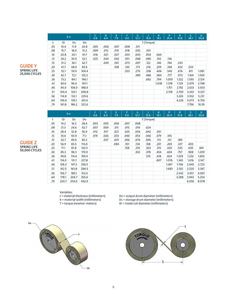|     |       | $b \rightarrow$ |       | C<br>4.8 | D<br>6.4 | E.<br>7.9 | F<br>9.5 | G<br>12.7 | 15.9       | К<br>19.1 | P<br>25.4 | R<br>31.8 | S<br>38.1 | U<br>50.8 |
|-----|-------|-----------------|-------|----------|----------|-----------|----------|-----------|------------|-----------|-----------|-----------|-----------|-----------|
| t   | ID    | Ds              | Do    |          |          |           |          |           | T (Torque) |           |           |           |           |           |
| .05 | 10.4  | 11.9            | 20.8  | .005     | .006     | .007      | .008     | .011      |            |           |           |           |           |           |
| .08 | 15.7  | 18.0            | 31.2  | .009     | .012     | .015      | .018     | .025      | .031       |           |           |           |           |           |
| .10 | 20.8  | 24.1            | 41.7  | .016     | .021     | .027      | .033     | .043      | .054       | .064      |           |           |           |           |
| .13 | 26.2  | 30.0            | 52.1  | .025     | .034     | .042      | .051     | .068      | .085       | .102      | .136      |           |           |           |
| .15 | 31.2  | 36.1            | 62.7  |          | .049     | .061      | .073     | .097      | .122       | .146      | .194      | .243      |           |           |
| .20 | 41.7  | 48.0            | 83.6  |          |          | .108      | .130     | .173      | .216       | .259      | .346      | .432      | .520      |           |
| .25 | 52.1  | 59.9            | 104.4 |          |          |           | .203     | .270      | .338       | .406      | .540      | .676      | .811      | 1.081     |
| .30 | 62.7  | 72.1            | 125.2 |          |          |           |          | .389      | .486       | .584      | .777      | .973      | 1.164     | 1.559     |
| .36 | 73.2  | 84.1            | 146.1 |          |          |           |          |           | .662       | .794      | 1.059     | 1.322     | 1.593     | 2.124     |
| .41 | 83.6  | 96.0            | 167.1 |          |          |           |          |           |            | 1.038     | 1.378     | 1.729     | 2.079     | 2.768     |
| .46 | 94.0  | 108.0           | 188.0 |          |          |           |          |           |            |           | 1.751     | 2.192     | 2.633     | 3.503     |
| .51 | 104.4 | 120.1           | 208.8 |          |          |           |          |           |            |           | 2.158     | 2.700     | 3.243     | 4.327     |
| .56 | 114.8 | 132.1           | 229.6 |          |          |           |          |           |            |           |           | 3.265     | 3.932     | 5.231     |
| .64 | 130.6 | 150.1           | 261.6 |          |          |           |          |           |            |           |           | 4.226     | 5.073     | 6.756     |
| .79 | 161.8 | 186.2           | 322.6 |          |          |           |          |           |            |           |           |           | 7.796     | 10.39     |

#### **GUIDE Y SPRING LIFE 25,000 CYCLES**

### **GUIDE Z SPRING LIFE 50,000 CYCLES**

| $b \rightarrow$ |       |       |       | C<br>4.8   | D<br>6.4 | E<br>7.9 | F<br>9.5 | G<br>12.7 | 15.9 | К<br>19.1 | P<br>25.4 | R<br>31.8 | S<br>38.1 | U<br>50.8 |
|-----------------|-------|-------|-------|------------|----------|----------|----------|-----------|------|-----------|-----------|-----------|-----------|-----------|
| t               | ID    | Ds    | Do    | T (Torque) |          |          |          |           |      |           |           |           |           |           |
| .05             | 14.2  | 16.3  | 28.4  | .003       | .005     | .006     | .007     | .008      |      |           |           |           |           |           |
| .08             | 21.3  | 24.6  | 42.7  | .007       | .009     | .011     | .015     | .019      | .024 |           |           |           |           |           |
| .10             | 28.4  | 32.8  | 56.9  | .012       | .017     | .021     | .025     | .034      | .042 | .051      |           |           |           |           |
| .13             | 35.6  | 40.9  | 71.1  | .019       | .026     | .033     | .040     | .053      | .066 | .079      | .105      |           |           |           |
| .15             | 42.7  | 49.0  | 85.3  |            | .037     | .047     | .056     | .076      | .095 | .113      | .151      | .189      |           |           |
| .20             | 56.9  | 65.5  | 114.0 |            |          | .084     | .101     | .134      | .168 | .201      | .269      | .337      | .403      |           |
| .25             | 71.1  | 81.8  | 142.5 |            |          |          | .158     | .210      | .263 | .315      | .420      | .525      | .630      | .841      |
| .30             | 85.3  | 98.3  | 170.9 |            |          |          |          | .302      | .378 | .454      | .604      | .757      | .908      | 1.209     |
| .36             | 99.8  | 114.6 | 199.4 |            |          |          |          |           | .515 | .618      | .824      | 1.029     | 1.232     | 1.650     |
| .41             | 114.0 | 131.1 | 227.8 |            |          |          |          |           |      | .807      | 1.076     | 1.345     | 1.616     | 2.147     |
| .46             | 128.3 | 147.3 | 256.5 |            |          |          |          |           |      |           | 1.367     | 1.706     | 2.045     | 2.723     |
| .51             | 142.5 | 163.8 | 284.5 |            |          |          |          |           |      |           | 1.683     | 2.102     | 2.520     | 3.367     |
| .56             | 156.7 | 180.1 | 312.4 |            |          |          |          |           |      |           |           | 2.542     | 3.051     | 4.067     |
| .64             | 178.1 | 204.7 | 355.6 |            |          |          |          |           |      |           |           | 3.288     | 3.943     | 5.254     |
| .79             | 220.7 | 254.0 | 442.0 |            |          |          |          |           |      |           |           |           | 6.056     | 8.078     |

#### Variables:

t = material thickness (millimeters) b = material width (millimeters)

T = torque (newton-meters)

Do = output drum diameter (millimeters) Ds = storage drum diameter (millimeters) ID = inside coil diameter (millimeters)



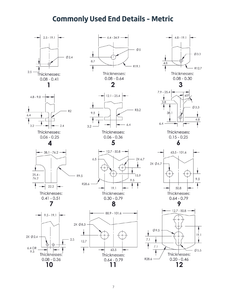### **Commonly Used End Details - Metric**